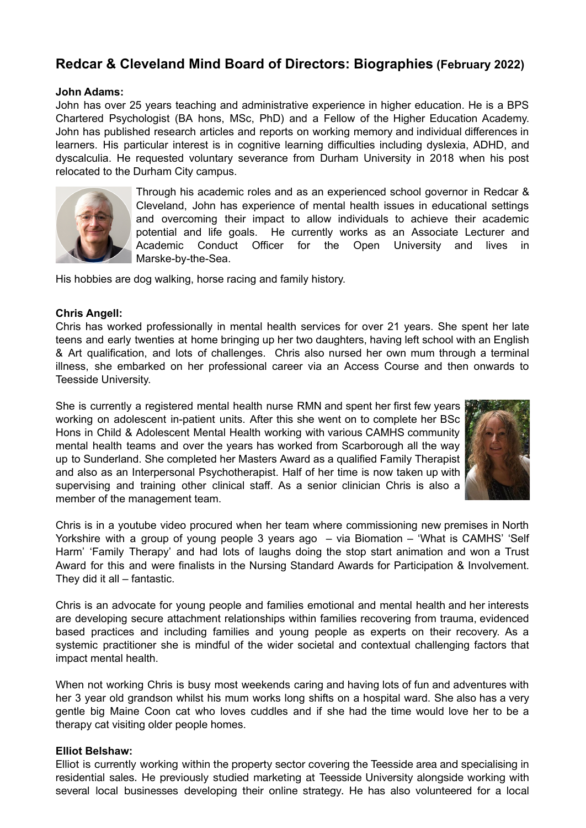# **Redcar & Cleveland Mind Board of Directors: Biographies (February 2022)**

#### **John Adams:**

John has over 25 years teaching and administrative experience in higher education. He is a BPS Chartered Psychologist (BA hons, MSc, PhD) and a Fellow of the Higher Education Academy. John has published research articles and reports on working memory and individual differences in learners. His particular interest is in cognitive learning difficulties including dyslexia, ADHD, and dyscalculia. He requested voluntary severance from Durham University in 2018 when his post relocated to the Durham City campus.



Through his academic roles and as an experienced school governor in Redcar & Cleveland, John has experience of mental health issues in educational settings and overcoming their impact to allow individuals to achieve their academic potential and life goals. He currently works as an Associate Lecturer and Academic Conduct Officer for the Open University and lives in Marske-by-the-Sea.

His hobbies are dog walking, horse racing and family history.

## **Chris Angell:**

Chris has worked professionally in mental health services for over 21 years. She spent her late teens and early twenties at home bringing up her two daughters, having left school with an English & Art qualification, and lots of challenges. Chris also nursed her own mum through a terminal illness, she embarked on her professional career via an Access Course and then onwards to Teesside University.

She is currently a registered mental health nurse RMN and spent her first few years working on adolescent in-patient units. After this she went on to complete her BSc Hons in Child & Adolescent Mental Health working with various CAMHS community mental health teams and over the years has worked from Scarborough all the way up to Sunderland. She completed her Masters Award as a qualified Family Therapist and also as an Interpersonal Psychotherapist. Half of her time is now taken up with supervising and training other clinical staff. As a senior clinician Chris is also a member of the management team.



Chris is in a youtube video procured when her team where commissioning new premises in North Yorkshire with a group of young people 3 years ago – via Biomation – 'What is CAMHS' 'Self Harm' 'Family Therapy' and had lots of laughs doing the stop start animation and won a Trust Award for this and were finalists in the Nursing Standard Awards for Participation & Involvement. They did it all – fantastic.

Chris is an advocate for young people and families emotional and mental health and her interests are developing secure attachment relationships within families recovering from trauma, evidenced based practices and including families and young people as experts on their recovery. As a systemic practitioner she is mindful of the wider societal and contextual challenging factors that impact mental health.

When not working Chris is busy most weekends caring and having lots of fun and adventures with her 3 year old grandson whilst his mum works long shifts on a hospital ward. She also has a very gentle big Maine Coon cat who loves cuddles and if she had the time would love her to be a therapy cat visiting older people homes.

#### **Elliot Belshaw:**

Elliot is currently working within the property sector covering the Teesside area and specialising in residential sales. He previously studied marketing at Teesside University alongside working with several local businesses developing their online strategy. He has also volunteered for a local